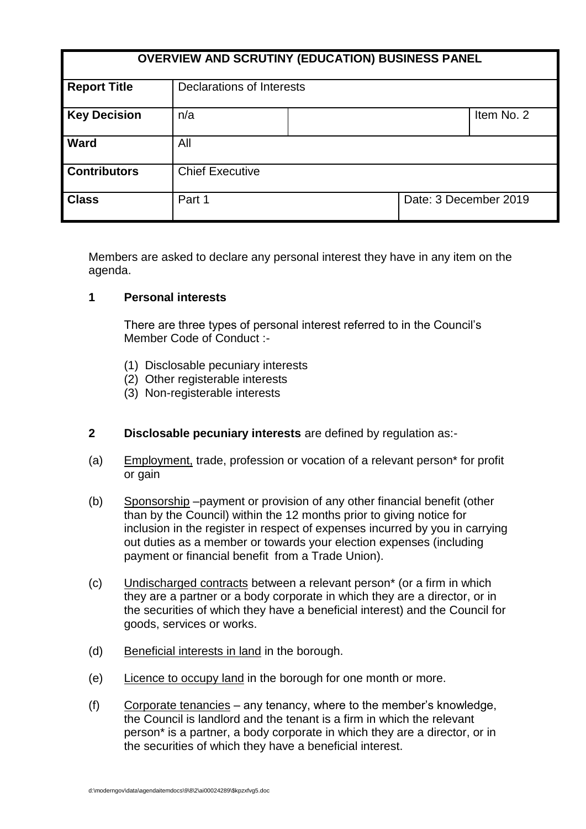| <b>OVERVIEW AND SCRUTINY (EDUCATION) BUSINESS PANEL</b> |                           |  |                       |            |
|---------------------------------------------------------|---------------------------|--|-----------------------|------------|
| <b>Report Title</b>                                     | Declarations of Interests |  |                       |            |
| <b>Key Decision</b>                                     | n/a                       |  |                       | Item No. 2 |
| <b>Ward</b>                                             | All                       |  |                       |            |
| <b>Contributors</b>                                     | <b>Chief Executive</b>    |  |                       |            |
| <b>Class</b>                                            | Part 1                    |  | Date: 3 December 2019 |            |

Members are asked to declare any personal interest they have in any item on the agenda.

### **1 Personal interests**

There are three types of personal interest referred to in the Council's Member Code of Conduct :-

- (1) Disclosable pecuniary interests
- (2) Other registerable interests
- (3) Non-registerable interests
- **2 Disclosable pecuniary interests** are defined by regulation as:-
- (a) Employment, trade, profession or vocation of a relevant person\* for profit or gain
- (b) Sponsorship –payment or provision of any other financial benefit (other than by the Council) within the 12 months prior to giving notice for inclusion in the register in respect of expenses incurred by you in carrying out duties as a member or towards your election expenses (including payment or financial benefit from a Trade Union).
- (c) Undischarged contracts between a relevant person\* (or a firm in which they are a partner or a body corporate in which they are a director, or in the securities of which they have a beneficial interest) and the Council for goods, services or works.
- (d) Beneficial interests in land in the borough.
- (e) Licence to occupy land in the borough for one month or more.
- (f) Corporate tenancies any tenancy, where to the member's knowledge, the Council is landlord and the tenant is a firm in which the relevant person\* is a partner, a body corporate in which they are a director, or in the securities of which they have a beneficial interest.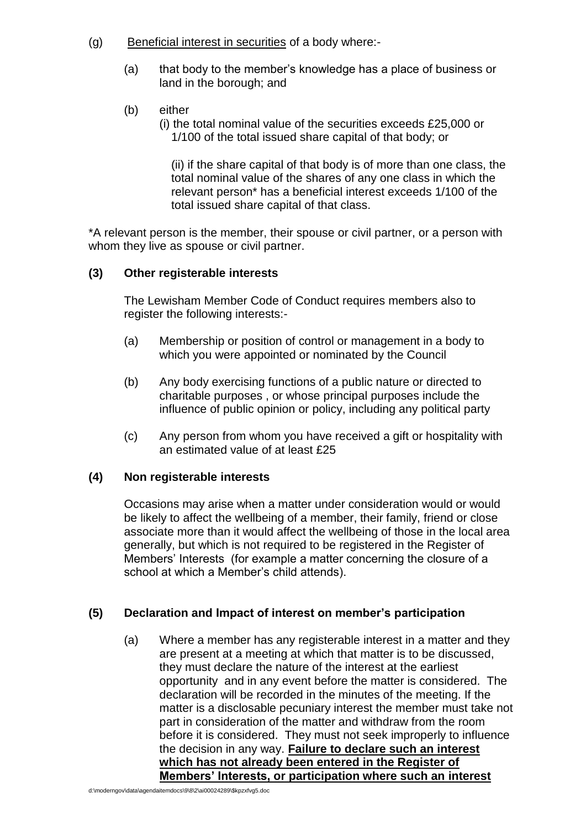- (g) Beneficial interest in securities of a body where:-
	- (a) that body to the member's knowledge has a place of business or land in the borough; and
	- (b) either
		- (i) the total nominal value of the securities exceeds £25,000 or 1/100 of the total issued share capital of that body; or

(ii) if the share capital of that body is of more than one class, the total nominal value of the shares of any one class in which the relevant person\* has a beneficial interest exceeds 1/100 of the total issued share capital of that class.

\*A relevant person is the member, their spouse or civil partner, or a person with whom they live as spouse or civil partner.

### **(3) Other registerable interests**

The Lewisham Member Code of Conduct requires members also to register the following interests:-

- (a) Membership or position of control or management in a body to which you were appointed or nominated by the Council
- (b) Any body exercising functions of a public nature or directed to charitable purposes , or whose principal purposes include the influence of public opinion or policy, including any political party
- (c) Any person from whom you have received a gift or hospitality with an estimated value of at least £25

# **(4) Non registerable interests**

Occasions may arise when a matter under consideration would or would be likely to affect the wellbeing of a member, their family, friend or close associate more than it would affect the wellbeing of those in the local area generally, but which is not required to be registered in the Register of Members' Interests (for example a matter concerning the closure of a school at which a Member's child attends).

# **(5) Declaration and Impact of interest on member's participation**

(a) Where a member has any registerable interest in a matter and they are present at a meeting at which that matter is to be discussed, they must declare the nature of the interest at the earliest opportunity and in any event before the matter is considered. The declaration will be recorded in the minutes of the meeting. If the matter is a disclosable pecuniary interest the member must take not part in consideration of the matter and withdraw from the room before it is considered. They must not seek improperly to influence the decision in any way. **Failure to declare such an interest which has not already been entered in the Register of Members' Interests, or participation where such an interest**